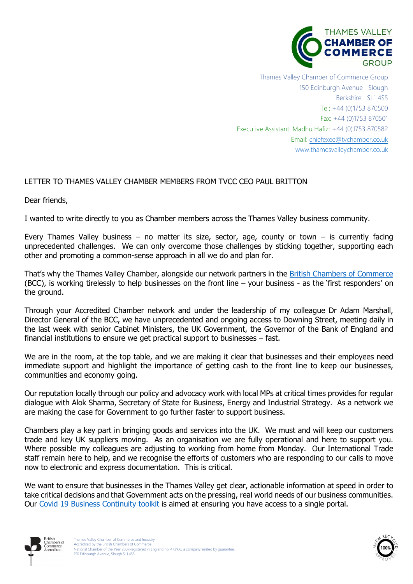

Thames Valley Chamber of Commerce Group 150 Edinburgh Avenue Slough Berkshire SL1 4SS Tel: +44 (0)1753 870500 Fax: +44 (0)1753 870501 Executive Assistant: Madhu Hafiz: +44 (0)1753 870582 Email: [chiefexec@tvchamber.co.uk](mailto:chiefexec@tvchamber.co.uk) [www.thamesvalleychamber.co.uk](http://www.thamesvalleychamber.co.uk/)

## LETTER TO THAMES VALLEY CHAMBER MEMBERS FROM TVCC CEO PAUL BRITTON

Dear friends,

I wanted to write directly to you as Chamber members across the Thames Valley business community.

 Every Thames Valley business – no matter its size, sector, age, county or town – is currently facing unprecedented challenges. We can only overcome those challenges by sticking together, supporting each other and promoting a common-sense approach in all we do and plan for.

That's why the Thames Valley Chamber, alongside our network partners in the <u>British Chambers of Commerce</u> (BCC), is working tirelessly to help businesses on the front line – your business - as the 'first responders' on the ground.

 Through your Accredited Chamber network and under the leadership of my colleague Dr Adam Marshall, Director General of the BCC, we have unprecedented and ongoing access to Downing Street, meeting daily in the last week with senior Cabinet Ministers, the UK Government, the Governor of the Bank of England and financial institutions to ensure we get practical support to businesses – fast.

 We are in the room, at the top table, and we are making it clear that businesses and their employees need immediate support and highlight the importance of getting cash to the front line to keep our businesses, communities and economy going.

 Our reputation locally through our policy and advocacy work with local MPs at critical times provides for regular dialogue with Alok Sharma, Secretary of State for Business, Energy and Industrial Strategy. As a network we are making the case for Government to go further faster to support business.

 Chambers play a key part in bringing goods and services into the UK. We must and will keep our customers trade and key UK suppliers moving. As an organisation we are fully operational and here to support you. Where possible my colleagues are adjusting to working from home from Monday. Our International Trade staff remain here to help, and we recognise the efforts of customers who are responding to our calls to move now to electronic and express documentation. This is critical.

 We want to ensure that businesses in the Thames Valley get clear, actionable information at speed in order to take critical decisions and that Government acts on the pressing, real world needs of our business communities. Our <u>[Covid 19 Business Continuity toolkit](https://www.thamesvalleychamber.co.uk/covid-19-business-guidance/)</u> is aimed at ensuring you have access to a single portal.